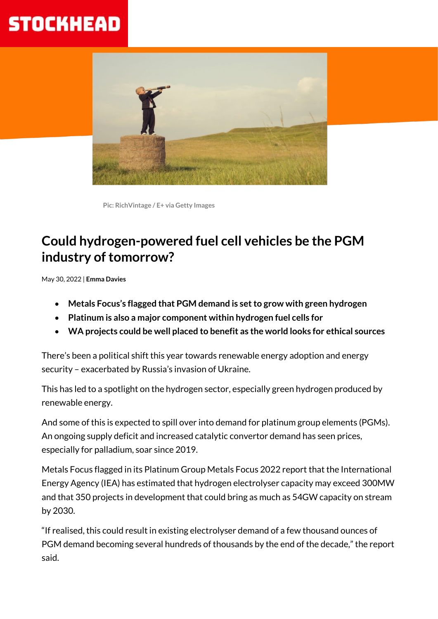# **STOCKHEAD**



 **Pic: RichVintage / E+ via Getty Images**

## **Could hydrogen-powered fuel cell vehicles be the PGM industry of tomorrow?**

May 30, 2022 | **Emma Davies**

- **Metals Focus's flagged that PGM demand is set to grow with green hydrogen**
- **Platinum is also a major component within hydrogen fuel cells for**
- **WA projects could be well placed to benefit as the world looks for ethical sources**

There's been a political shift this year towards renewable energy adoption and energy security – exacerbated by Russia's invasion of Ukraine.

This has led to a spotlight on the hydrogen sector, especially green hydrogen produced by renewable energy.

And some of this is expected to spill over into demand for platinum group elements (PGMs). An ongoing supply deficit and increased catalytic convertor demand has seen prices, especially for palladium, soar since 2019.

Metals Focus flagged in its Platinum Group Metals Focus 2022 report that the International Energy Agency (IEA) has estimated that hydrogen electrolyser capacity may exceed 300MW and that 350 projects in development that could bring as much as 54GW capacity on stream by 2030.

"If realised, this could result in existing electrolyser demand of a few thousand ounces of PGM demand becoming several hundreds of thousands by the end of the decade," the report said.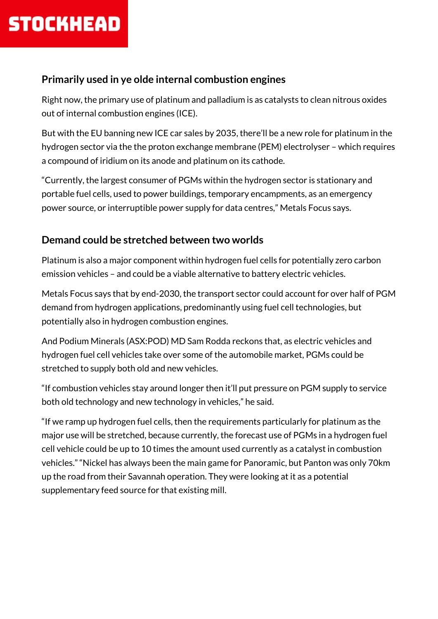

#### **Primarily used in ye olde internal combustion engines**

Right now, the primary use of platinum and palladium is as catalysts to clean nitrous oxides out of internal combustion engines (ICE).

But with the EU banning new ICE car sales by 2035, there'll be a new role for platinum in the hydrogen sector via the the proton exchange membrane (PEM) electrolyser – which requires a compound of iridium on its anode and platinum on its cathode.

"Currently, the largest consumer of PGMs within the hydrogen sector is stationary and portable fuel cells, used to power buildings, temporary encampments, as an emergency power source, or interruptible power supply for data centres," Metals Focus says.

#### **Demand could be stretched between two worlds**

Platinum is also a major component within hydrogen fuel cells for potentially zero carbon emission vehicles – and could be a viable alternative to battery electric vehicles.

Metals Focus says that by end-2030, the transport sector could account for over half of PGM demand from hydrogen applications, predominantly using fuel cell technologies, but potentially also in hydrogen combustion engines.

And Podium Minerals (ASX:POD) MD Sam Rodda reckons that, as electric vehicles and hydrogen fuel cell vehicles take over some of the automobile market, PGMs could be stretched to supply both old and new vehicles.

"If combustion vehicles stay around longer then it'll put pressure on PGM supply to service both old technology and new technology in vehicles," he said.

"If we ramp up hydrogen fuel cells, then the requirements particularly for platinum as the major use will be stretched, because currently, the forecast use of PGMs in a hydrogen fuel cell vehicle could be up to 10 times the amount used currently as a catalyst in combustion vehicles." "Nickel has always been the main game for Panoramic, but Panton was only 70km up the road from their Savannah operation. They were looking at it as a potential supplementary feed source for that existing mill.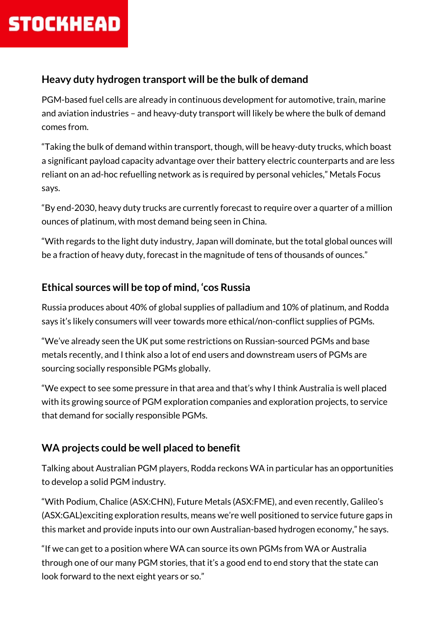#### **Heavy duty hydrogen transport will be the bulk of demand**

PGM-based fuel cells are already in continuous development for automotive, train, marine and aviation industries – and heavy-duty transport will likely be where the bulk of demand comes from.

"Taking the bulk of demand within transport, though, will be heavy-duty trucks, which boast a significant payload capacity advantage over their battery electric counterparts and are less reliant on an ad-hoc refuelling network as is required by personal vehicles," Metals Focus says.

"By end-2030, heavy duty trucks are currently forecast to require over a quarter of a million ounces of platinum, with most demand being seen in China.

"With regards to the light duty industry, Japan will dominate, but the total global ounces will be a fraction of heavy duty, forecast in the magnitude of tens of thousands of ounces."

### **Ethical sources will be top of mind, 'cos Russia**

Russia produces about 40% of global supplies of palladium and 10% of platinum, and Rodda says it's likely consumers will veer towards more ethical/non-conflict supplies of PGMs.

"We've already seen the UK put some restrictions on Russian-sourced PGMs and base metals recently, and I think also a lot of end users and downstream users of PGMs are sourcing socially responsible PGMs globally.

"We expect to see some pressure in that area and that's why I think Australia is well placed with its growing source of PGM exploration companies and exploration projects, to service that demand for socially responsible PGMs.

### **WA projects could be well placed to benefit**

Talking about Australian PGM players, Rodda reckons WA in particular has an opportunities to develop a solid PGM industry.

"With Podium, Chalice (ASX:CHN), Future Metals (ASX:FME), and even recently, Galileo's (ASX:GAL)exciting exploration results, means we're well positioned to service future gaps in this market and provide inputs into our own Australian-based hydrogen economy," he says.

"If we can get to a position where WA can source its own PGMs from WA or Australia through one of our many PGM stories, that it's a good end to end story that the state can look forward to the next eight years or so."